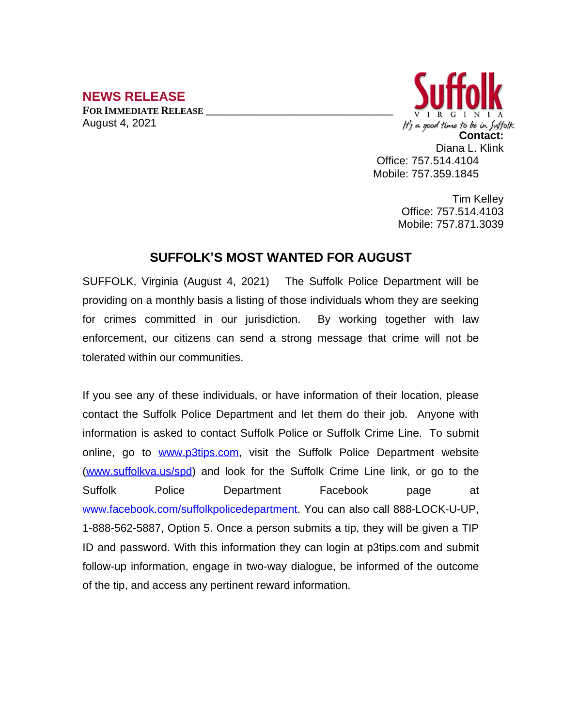## **NEWS RELEASE**

**FOR IMMEDIATE RELEASE \_\_\_\_\_\_\_\_\_\_\_\_\_\_\_\_\_\_\_\_\_\_\_\_\_\_\_\_\_\_\_\_\_\_** August 4, 2021



Tim Kelley Office: 757.514.4103 Mobile: 757.871.3039

## **SUFFOLK'S MOST WANTED FOR AUGUST**

SUFFOLK, Virginia (August 4, 2021) The Suffolk Police Department will be providing on a monthly basis a listing of those individuals whom they are seeking for crimes committed in our jurisdiction. By working together with law enforcement, our citizens can send a strong message that crime will not be tolerated within our communities.

If you see any of these individuals, or have information of their location, please contact the Suffolk Police Department and let them do their job. Anyone with information is asked to contact Suffolk Police or Suffolk Crime Line. To submit online, go to [www.p3tips.com](http://www.p3tips.com), visit the Suffolk Police Department website ([www.suffolkva.us/spd](http://www.suffolkva.us/spd)) and look for the Suffolk Crime Line link, or go to the Suffolk Police Department Facebook page at [www.facebook.com/suffolkpolicedepartment](http://www.facebook.com/suffolkpolicedepartment). You can also call 888-LOCK-U-UP, 1-888-562-5887, Option 5. Once a person submits a tip, they will be given a TIP ID and password. With this information they can login at p3tips.com and submit follow-up information, engage in two-way dialogue, be informed of the outcome of the tip, and access any pertinent reward information.